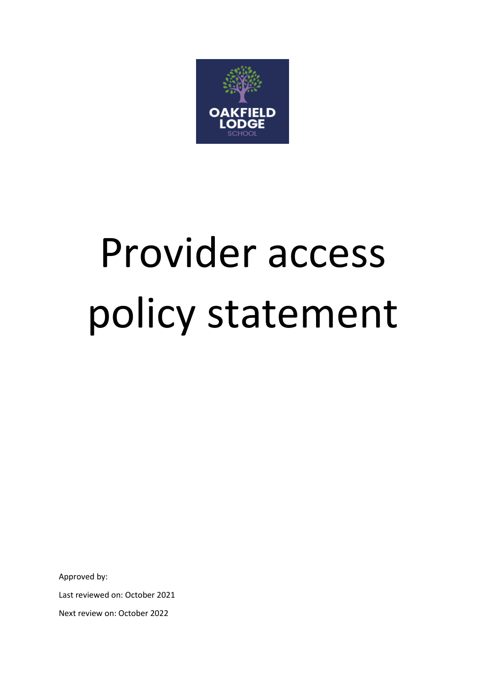

# Provider access policy statement

Approved by:

Last reviewed on: October 2021

Next review on: October 2022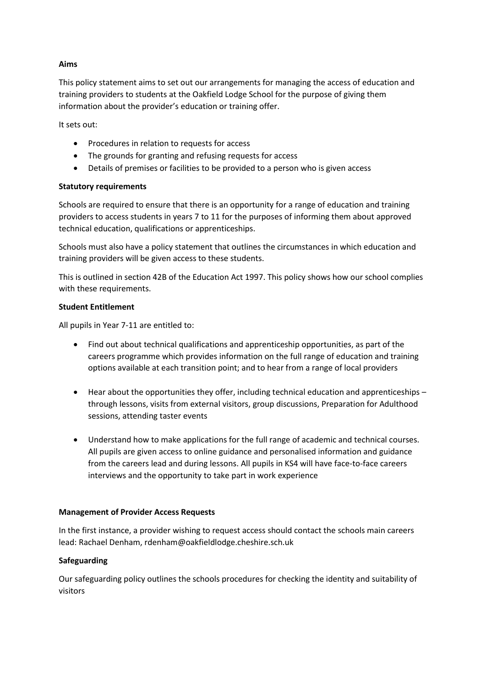# **Aims**

This policy statement aims to set out our arrangements for managing the access of education and training providers to students at the Oakfield Lodge School for the purpose of giving them information about the provider's education or training offer.

It sets out:

- Procedures in relation to requests for access
- The grounds for granting and refusing requests for access
- Details of premises or facilities to be provided to a person who is given access

#### **Statutory requirements**

Schools are required to ensure that there is an opportunity for a range of education and training providers to access students in years 7 to 11 for the purposes of informing them about approved technical education, qualifications or apprenticeships.

Schools must also have a policy statement that outlines the circumstances in which education and training providers will be given access to these students.

This is outlined in section 42B of the Education Act 1997. This policy shows how our school complies with these requirements.

#### **Student Entitlement**

All pupils in Year 7-11 are entitled to:

- Find out about technical qualifications and apprenticeship opportunities, as part of the careers programme which provides information on the full range of education and training options available at each transition point; and to hear from a range of local providers
- Hear about the opportunities they offer, including technical education and apprenticeships through lessons, visits from external visitors, group discussions, Preparation for Adulthood sessions, attending taster events
- Understand how to make applications for the full range of academic and technical courses. All pupils are given access to online guidance and personalised information and guidance from the careers lead and during lessons. All pupils in KS4 will have face-to-face careers interviews and the opportunity to take part in work experience

#### **Management of Provider Access Requests**

In the first instance, a provider wishing to request access should contact the schools main careers lead: Rachael Denham, rdenham@oakfieldlodge.cheshire.sch.uk

#### **Safeguarding**

Our safeguarding policy outlines the schools procedures for checking the identity and suitability of visitors